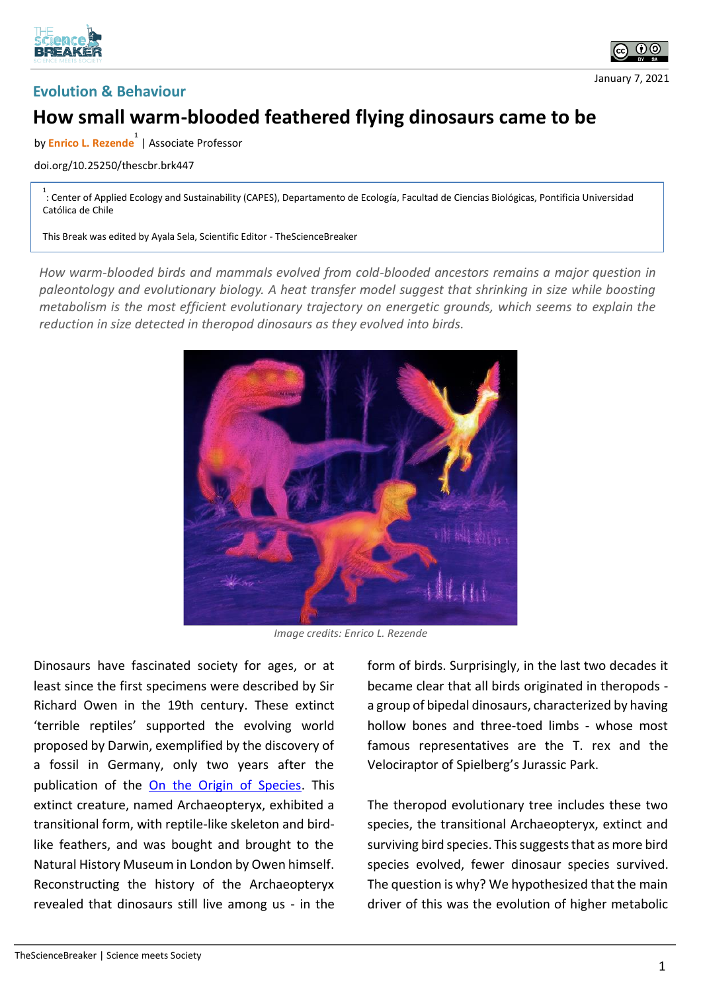





## **How small warm-blooded feathered flying dinosaurs came to be**

by **Enrico L. Rezende 1** | Associate Professor

## doi.org/10.25250/thescbr.brk447

1 : Center of Applied Ecology and Sustainability (CAPES), Departamento de Ecología, Facultad de Ciencias Biológicas, Pontificia Universidad Católica de Chile

This Break was edited by Ayala Sela, Scientific Editor - TheScienceBreaker

*How warm-blooded birds and mammals evolved from cold-blooded ancestors remains a major question in paleontology and evolutionary biology. A heat transfer model suggest that shrinking in size while boosting metabolism is the most efficient evolutionary trajectory on energetic grounds, which seems to explain the reduction in size detected in theropod dinosaurs as they evolved into birds.*



*Image credits: Enrico L. Rezende*

Dinosaurs have fascinated society for ages, or at least since the first specimens were described by Sir Richard Owen in the 19th century. These extinct 'terrible reptiles' supported the evolving world proposed by Darwin, exemplified by the discovery of a fossil in Germany, only two years after the publication of the [On the Origin of Species.](https://en.wikipedia.org/wiki/On_the_Origin_of_Species) This extinct creature, named Archaeopteryx, exhibited a transitional form, with reptile-like skeleton and birdlike feathers, and was bought and brought to the Natural History Museum in London by Owen himself. Reconstructing the history of the Archaeopteryx revealed that dinosaurs still live among us - in the

form of birds. Surprisingly, in the last two decades it became clear that all birds originated in theropods a group of bipedal dinosaurs, characterized by having hollow bones and three-toed limbs - whose most famous representatives are the T. rex and the Velociraptor of Spielberg's Jurassic Park.

The theropod evolutionary tree includes these two species, the transitional Archaeopteryx, extinct and surviving bird species. This suggests that as more bird species evolved, fewer dinosaur species survived. The question is why? We hypothesized that the main driver of this was the evolution of higher metabolic